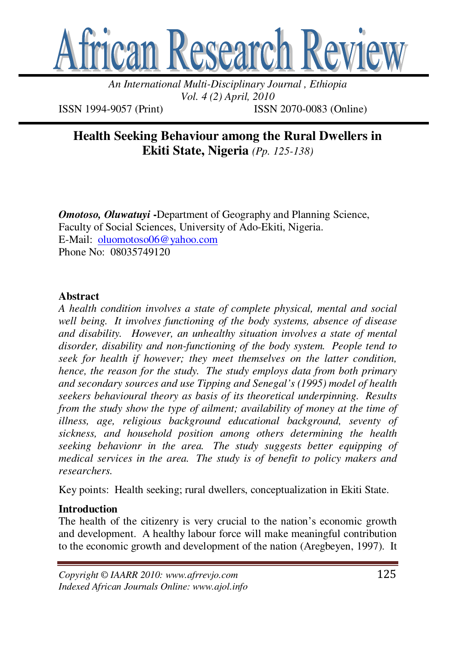

*An International Multi-Disciplinary Journal , Ethiopia Vol. 4 (2) April, 2010* 

ISSN 1994-9057 (Print) ISSN 2070-0083 (Online)

**Health Seeking Behaviour among the Rural Dwellers in Ekiti State, Nigeria** *(Pp. 125-138)* 

*Omotoso, Oluwatuyi* -Department of Geography and Planning Science, Faculty of Social Sciences, University of Ado-Ekiti, Nigeria. E-Mail: oluomotoso06@yahoo.com Phone No: 08035749120

### **Abstract**

*A health condition involves a state of complete physical, mental and social well being. It involves functioning of the body systems, absence of disease and disability. However, an unhealthy situation involves a state of mental disorder, disability and non-functioning of the body system. People tend to seek for health if however; they meet themselves on the latter condition, hence, the reason for the study. The study employs data from both primary and secondary sources and use Tipping and Senegal's (1995) model of health seekers behavioural theory as basis of its theoretical underpinning. Results from the study show the type of ailment; availability of money at the time of illness, age, religious background educational background, seventy of sickness, and household position among others determining the health seeking behavionr in the area. The study suggests better equipping of medical services in the area. The study is of benefit to policy makers and researchers.* 

Key points: Health seeking; rural dwellers, conceptualization in Ekiti State.

### **Introduction**

The health of the citizenry is very crucial to the nation's economic growth and development. A healthy labour force will make meaningful contribution to the economic growth and development of the nation (Aregbeyen, 1997). It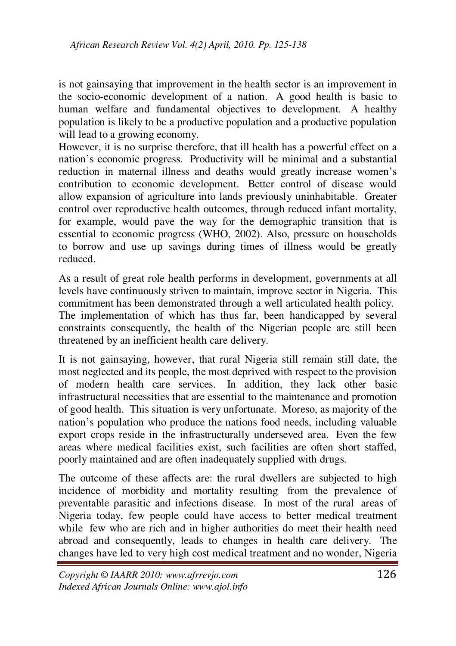is not gainsaying that improvement in the health sector is an improvement in the socio-economic development of a nation. A good health is basic to human welfare and fundamental objectives to development. A healthy population is likely to be a productive population and a productive population will lead to a growing economy.

However, it is no surprise therefore, that ill health has a powerful effect on a nation's economic progress. Productivity will be minimal and a substantial reduction in maternal illness and deaths would greatly increase women's contribution to economic development. Better control of disease would allow expansion of agriculture into lands previously uninhabitable. Greater control over reproductive health outcomes, through reduced infant mortality, for example, would pave the way for the demographic transition that is essential to economic progress (WHO, 2002). Also, pressure on households to borrow and use up savings during times of illness would be greatly reduced.

As a result of great role health performs in development, governments at all levels have continuously striven to maintain, improve sector in Nigeria. This commitment has been demonstrated through a well articulated health policy. The implementation of which has thus far, been handicapped by several constraints consequently, the health of the Nigerian people are still been threatened by an inefficient health care delivery.

It is not gainsaying, however, that rural Nigeria still remain still date, the most neglected and its people, the most deprived with respect to the provision of modern health care services. In addition, they lack other basic infrastructural necessities that are essential to the maintenance and promotion of good health. This situation is very unfortunate. Moreso, as majority of the nation's population who produce the nations food needs, including valuable export crops reside in the infrastructurally underseved area. Even the few areas where medical facilities exist, such facilities are often short staffed, poorly maintained and are often inadequately supplied with drugs.

The outcome of these affects are: the rural dwellers are subjected to high incidence of morbidity and mortality resulting from the prevalence of preventable parasitic and infections disease. In most of the rural areas of Nigeria today, few people could have access to better medical treatment while few who are rich and in higher authorities do meet their health need abroad and consequently, leads to changes in health care delivery. The changes have led to very high cost medical treatment and no wonder, Nigeria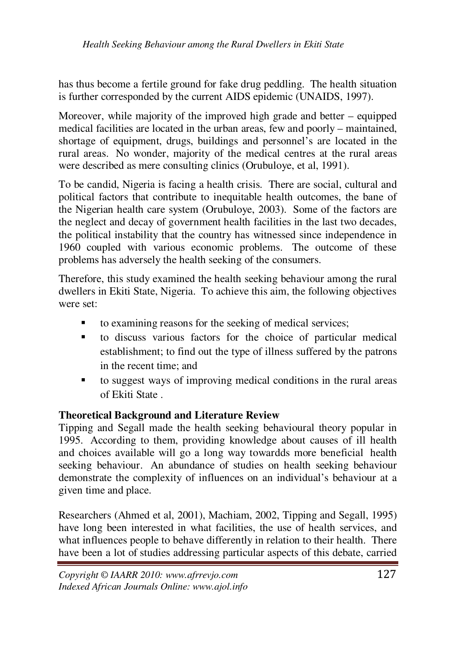has thus become a fertile ground for fake drug peddling. The health situation is further corresponded by the current AIDS epidemic (UNAIDS, 1997).

Moreover, while majority of the improved high grade and better – equipped medical facilities are located in the urban areas, few and poorly – maintained, shortage of equipment, drugs, buildings and personnel's are located in the rural areas. No wonder, majority of the medical centres at the rural areas were described as mere consulting clinics (Orubuloye, et al, 1991).

To be candid, Nigeria is facing a health crisis. There are social, cultural and political factors that contribute to inequitable health outcomes, the bane of the Nigerian health care system (Orubuloye, 2003). Some of the factors are the neglect and decay of government health facilities in the last two decades, the political instability that the country has witnessed since independence in 1960 coupled with various economic problems. The outcome of these problems has adversely the health seeking of the consumers.

Therefore, this study examined the health seeking behaviour among the rural dwellers in Ekiti State, Nigeria. To achieve this aim, the following objectives were set:

- to examining reasons for the seeking of medical services;
- to discuss various factors for the choice of particular medical establishment; to find out the type of illness suffered by the patrons in the recent time; and
- to suggest ways of improving medical conditions in the rural areas of Ekiti State .

# **Theoretical Background and Literature Review**

Tipping and Segall made the health seeking behavioural theory popular in 1995. According to them, providing knowledge about causes of ill health and choices available will go a long way towardds more beneficial health seeking behaviour. An abundance of studies on health seeking behaviour demonstrate the complexity of influences on an individual's behaviour at a given time and place.

Researchers (Ahmed et al, 2001), Machiam, 2002, Tipping and Segall, 1995) have long been interested in what facilities, the use of health services, and what influences people to behave differently in relation to their health. There have been a lot of studies addressing particular aspects of this debate, carried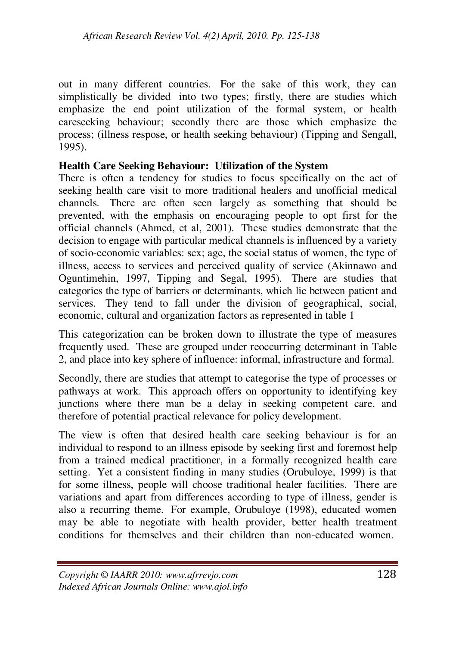out in many different countries. For the sake of this work, they can simplistically be divided into two types; firstly, there are studies which emphasize the end point utilization of the formal system, or health careseeking behaviour; secondly there are those which emphasize the process; (illness respose, or health seeking behaviour) (Tipping and Sengall, 1995).

## **Health Care Seeking Behaviour: Utilization of the System**

There is often a tendency for studies to focus specifically on the act of seeking health care visit to more traditional healers and unofficial medical channels. There are often seen largely as something that should be prevented, with the emphasis on encouraging people to opt first for the official channels (Ahmed, et al, 2001). These studies demonstrate that the decision to engage with particular medical channels is influenced by a variety of socio-economic variables: sex; age, the social status of women, the type of illness, access to services and perceived quality of service (Akinnawo and Oguntimehin, 1997, Tipping and Segal, 1995). There are studies that categories the type of barriers or determinants, which lie between patient and services. They tend to fall under the division of geographical, social, economic, cultural and organization factors as represented in table 1

This categorization can be broken down to illustrate the type of measures frequently used. These are grouped under reoccurring determinant in Table 2, and place into key sphere of influence: informal, infrastructure and formal.

Secondly, there are studies that attempt to categorise the type of processes or pathways at work. This approach offers on opportunity to identifying key junctions where there man be a delay in seeking competent care, and therefore of potential practical relevance for policy development.

The view is often that desired health care seeking behaviour is for an individual to respond to an illness episode by seeking first and foremost help from a trained medical practitioner, in a formally recognized health care setting. Yet a consistent finding in many studies (Orubuloye, 1999) is that for some illness, people will choose traditional healer facilities. There are variations and apart from differences according to type of illness, gender is also a recurring theme. For example, Orubuloye (1998), educated women may be able to negotiate with health provider, better health treatment conditions for themselves and their children than non-educated women.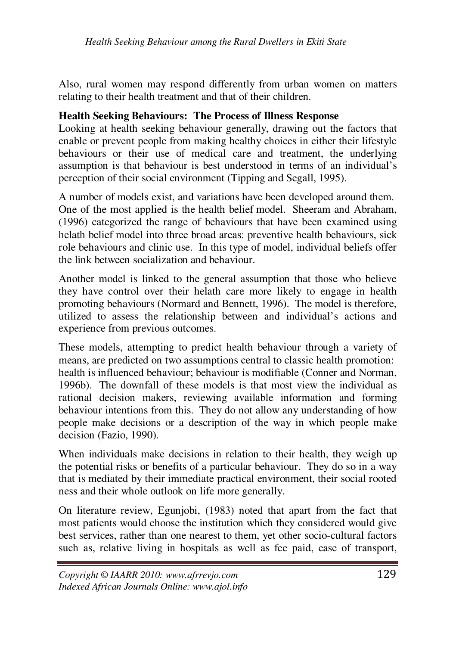Also, rural women may respond differently from urban women on matters relating to their health treatment and that of their children.

#### **Health Seeking Behaviours: The Process of Illness Response**

Looking at health seeking behaviour generally, drawing out the factors that enable or prevent people from making healthy choices in either their lifestyle behaviours or their use of medical care and treatment, the underlying assumption is that behaviour is best understood in terms of an individual's perception of their social environment (Tipping and Segall, 1995).

A number of models exist, and variations have been developed around them. One of the most applied is the health belief model. Sheeram and Abraham, (1996) categorized the range of behaviours that have been examined using helath belief model into three broad areas: preventive health behaviours, sick role behaviours and clinic use. In this type of model, individual beliefs offer the link between socialization and behaviour.

Another model is linked to the general assumption that those who believe they have control over their helath care more likely to engage in health promoting behaviours (Normard and Bennett, 1996). The model is therefore, utilized to assess the relationship between and individual's actions and experience from previous outcomes.

These models, attempting to predict health behaviour through a variety of means, are predicted on two assumptions central to classic health promotion: health is influenced behaviour; behaviour is modifiable (Conner and Norman, 1996b). The downfall of these models is that most view the individual as rational decision makers, reviewing available information and forming behaviour intentions from this. They do not allow any understanding of how people make decisions or a description of the way in which people make decision (Fazio, 1990).

When individuals make decisions in relation to their health, they weigh up the potential risks or benefits of a particular behaviour. They do so in a way that is mediated by their immediate practical environment, their social rooted ness and their whole outlook on life more generally.

On literature review, Egunjobi, (1983) noted that apart from the fact that most patients would choose the institution which they considered would give best services, rather than one nearest to them, yet other socio-cultural factors such as, relative living in hospitals as well as fee paid, ease of transport,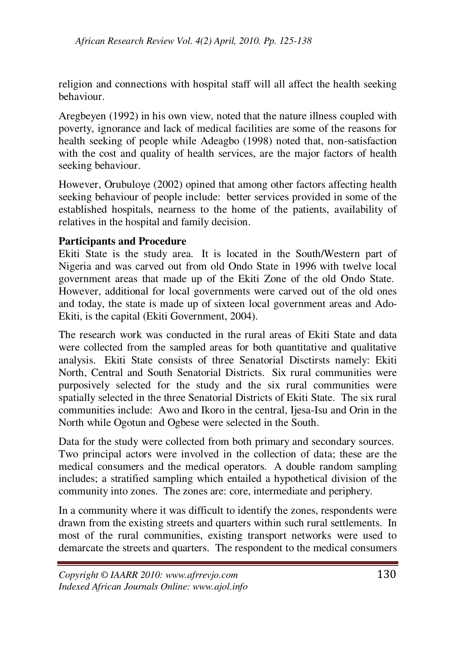religion and connections with hospital staff will all affect the health seeking behaviour.

Aregbeyen (1992) in his own view, noted that the nature illness coupled with poverty, ignorance and lack of medical facilities are some of the reasons for health seeking of people while Adeagbo (1998) noted that, non-satisfaction with the cost and quality of health services, are the major factors of health seeking behaviour.

However, Orubuloye (2002) opined that among other factors affecting health seeking behaviour of people include: better services provided in some of the established hospitals, nearness to the home of the patients, availability of relatives in the hospital and family decision.

### **Participants and Procedure**

Ekiti State is the study area. It is located in the South/Western part of Nigeria and was carved out from old Ondo State in 1996 with twelve local government areas that made up of the Ekiti Zone of the old Ondo State. However, additional for local governments were carved out of the old ones and today, the state is made up of sixteen local government areas and Ado-Ekiti, is the capital (Ekiti Government, 2004).

The research work was conducted in the rural areas of Ekiti State and data were collected from the sampled areas for both quantitative and qualitative analysis. Ekiti State consists of three Senatorial Disctirsts namely: Ekiti North, Central and South Senatorial Districts. Six rural communities were purposively selected for the study and the six rural communities were spatially selected in the three Senatorial Districts of Ekiti State. The six rural communities include: Awo and Ikoro in the central, Ijesa-Isu and Orin in the North while Ogotun and Ogbese were selected in the South.

Data for the study were collected from both primary and secondary sources. Two principal actors were involved in the collection of data; these are the medical consumers and the medical operators. A double random sampling includes; a stratified sampling which entailed a hypothetical division of the community into zones. The zones are: core, intermediate and periphery.

In a community where it was difficult to identify the zones, respondents were drawn from the existing streets and quarters within such rural settlements. In most of the rural communities, existing transport networks were used to demarcate the streets and quarters. The respondent to the medical consumers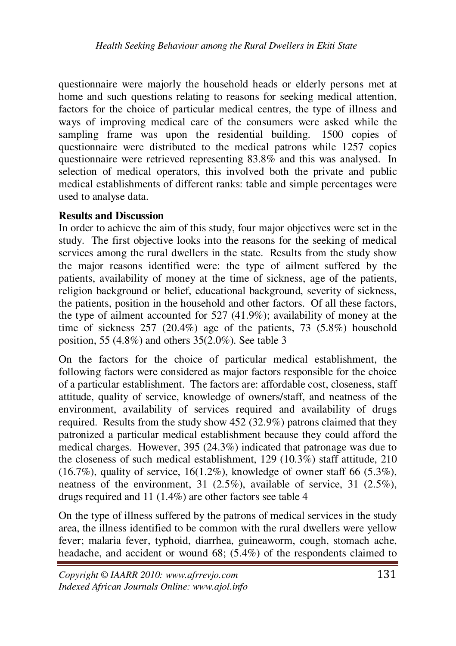questionnaire were majorly the household heads or elderly persons met at home and such questions relating to reasons for seeking medical attention, factors for the choice of particular medical centres, the type of illness and ways of improving medical care of the consumers were asked while the sampling frame was upon the residential building. 1500 copies of questionnaire were distributed to the medical patrons while 1257 copies questionnaire were retrieved representing 83.8% and this was analysed. In selection of medical operators, this involved both the private and public medical establishments of different ranks: table and simple percentages were used to analyse data.

#### **Results and Discussion**

In order to achieve the aim of this study, four major objectives were set in the study. The first objective looks into the reasons for the seeking of medical services among the rural dwellers in the state. Results from the study show the major reasons identified were: the type of ailment suffered by the patients, availability of money at the time of sickness, age of the patients, religion background or belief, educational background, severity of sickness, the patients, position in the household and other factors. Of all these factors, the type of ailment accounted for 527 (41.9%); availability of money at the time of sickness 257 (20.4%) age of the patients, 73 (5.8%) household position, 55 (4.8%) and others 35(2.0%). See table 3

On the factors for the choice of particular medical establishment, the following factors were considered as major factors responsible for the choice of a particular establishment. The factors are: affordable cost, closeness, staff attitude, quality of service, knowledge of owners/staff, and neatness of the environment, availability of services required and availability of drugs required. Results from the study show 452 (32.9%) patrons claimed that they patronized a particular medical establishment because they could afford the medical charges. However, 395 (24.3%) indicated that patronage was due to the closeness of such medical establishment, 129 (10.3%) staff attitude, 210 (16.7%), quality of service, 16(1.2%), knowledge of owner staff 66 (5.3%), neatness of the environment, 31 (2.5%), available of service, 31 (2.5%), drugs required and 11 (1.4%) are other factors see table 4

On the type of illness suffered by the patrons of medical services in the study area, the illness identified to be common with the rural dwellers were yellow fever; malaria fever, typhoid, diarrhea, guineaworm, cough, stomach ache, headache, and accident or wound 68; (5.4%) of the respondents claimed to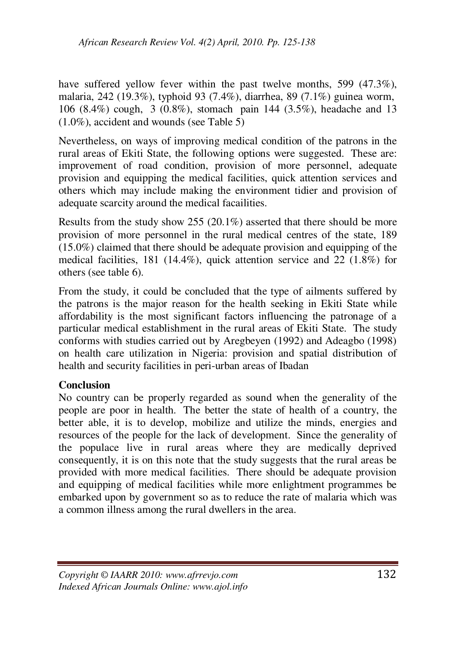have suffered yellow fever within the past twelve months, 599 (47.3%), malaria, 242 (19.3%), typhoid 93 (7.4%), diarrhea, 89 (7.1%) guinea worm, 106 (8.4%) cough, 3 (0.8%), stomach pain 144 (3.5%), headache and 13 (1.0%), accident and wounds (see Table 5)

Nevertheless, on ways of improving medical condition of the patrons in the rural areas of Ekiti State, the following options were suggested. These are: improvement of road condition, provision of more personnel, adequate provision and equipping the medical facilities, quick attention services and others which may include making the environment tidier and provision of adequate scarcity around the medical facailities.

Results from the study show 255 (20.1%) asserted that there should be more provision of more personnel in the rural medical centres of the state, 189  $(15.0\%)$  claimed that there should be adequate provision and equipping of the medical facilities, 181 (14.4%), quick attention service and 22 (1.8%) for others (see table 6).

From the study, it could be concluded that the type of ailments suffered by the patrons is the major reason for the health seeking in Ekiti State while affordability is the most significant factors influencing the patronage of a particular medical establishment in the rural areas of Ekiti State. The study conforms with studies carried out by Aregbeyen (1992) and Adeagbo (1998) on health care utilization in Nigeria: provision and spatial distribution of health and security facilities in peri-urban areas of Ibadan

# **Conclusion**

No country can be properly regarded as sound when the generality of the people are poor in health. The better the state of health of a country, the better able, it is to develop, mobilize and utilize the minds, energies and resources of the people for the lack of development. Since the generality of the populace live in rural areas where they are medically deprived consequently, it is on this note that the study suggests that the rural areas be provided with more medical facilities. There should be adequate provision and equipping of medical facilities while more enlightment programmes be embarked upon by government so as to reduce the rate of malaria which was a common illness among the rural dwellers in the area.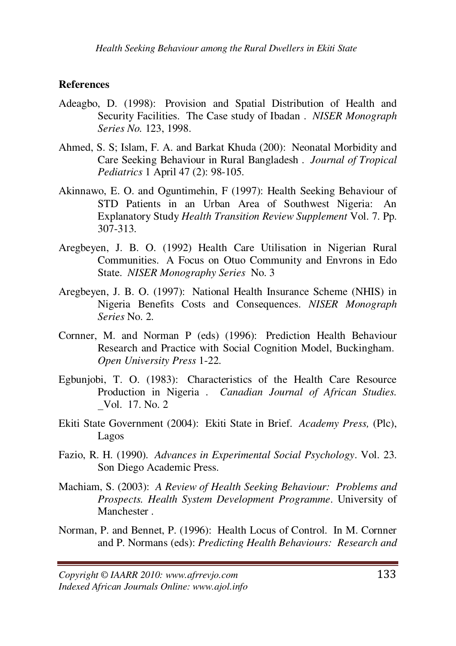#### **References**

- Adeagbo, D. (1998): Provision and Spatial Distribution of Health and Security Facilities. The Case study of Ibadan . *NISER Monograph Series No.* 123, 1998.
- Ahmed, S. S; Islam, F. A. and Barkat Khuda (200): Neonatal Morbidity and Care Seeking Behaviour in Rural Bangladesh . *Journal of Tropical Pediatrics* 1 April 47 (2): 98-105.
- Akinnawo, E. O. and Oguntimehin, F (1997): Health Seeking Behaviour of STD Patients in an Urban Area of Southwest Nigeria: An Explanatory Study *Health Transition Review Supplement* Vol. 7. Pp. 307-313.
- Aregbeyen, J. B. O. (1992) Health Care Utilisation in Nigerian Rural Communities. A Focus on Otuo Community and Envrons in Edo State. *NISER Monography Series* No. 3
- Aregbeyen, J. B. O. (1997): National Health Insurance Scheme (NHIS) in Nigeria Benefits Costs and Consequences. *NISER Monograph Series* No. 2.
- Cornner, M. and Norman P (eds) (1996): Prediction Health Behaviour Research and Practice with Social Cognition Model, Buckingham. *Open University Press* 1-22.
- Egbunjobi, T. O. (1983): Characteristics of the Health Care Resource Production in Nigeria . *Canadian Journal of African Studies.* Vol. 17. No. 2
- Ekiti State Government (2004): Ekiti State in Brief. *Academy Press,* (Plc), Lagos
- Fazio, R. H. (1990). *Advances in Experimental Social Psychology*. Vol. 23. Son Diego Academic Press.
- Machiam, S. (2003): *A Review of Health Seeking Behaviour: Problems and Prospects. Health System Development Programme*. University of Manchester .
- Norman, P. and Bennet, P. (1996): Health Locus of Control. In M. Cornner and P. Normans (eds): *Predicting Health Behaviours: Research and*

*Copyright © IAARR 2010: www.afrrevjo.com* 133 *Indexed African Journals Online: www.ajol.info*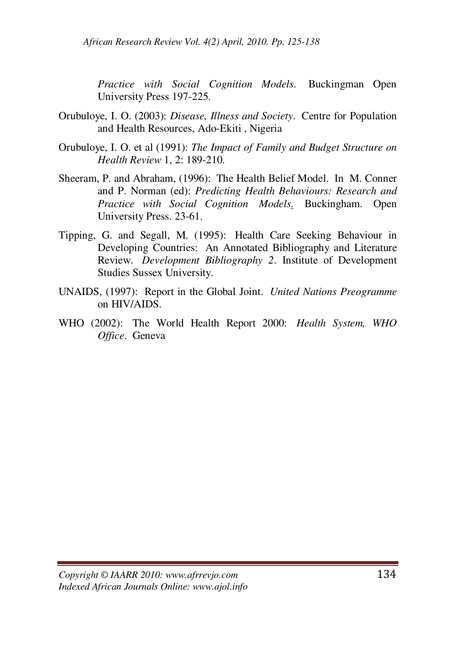*Practice with Social Cognition Models*. Buckingman Open University Press 197-225.

- Orubuloye, I. O. (2003): *Disease, Illness and Society*. Centre for Population and Health Resources, Ado-Ekiti , Nigeria
- Orubuloye, I. O. et al (1991): *The Impact of Family and Budget Structure on Health Review* 1, 2: 189-210.
- Sheeram, P. and Abraham, (1996): The Health Belief Model. In M. Conner and P. Norman (ed): *Predicting Health Behaviours: Research and Practice with Social Cognition Models*. Buckingham. Open University Press. 23-61.
- Tipping, G. and Segall, M. (1995): Health Care Seeking Behaviour in Developing Countries: An Annotated Bibliography and Literature Review. *Development Bibliography 2*. Institute of Development Studies Sussex University.
- UNAIDS, (1997): Report in the Global Joint. *United Nations Preogramme* on HIV/AIDS.
- WHO (2002): The World Health Report 2000: *Health System, WHO Office*. Geneva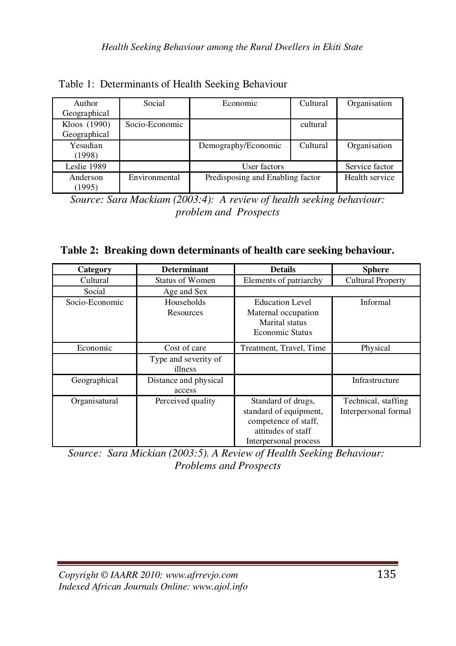| Author       | Social         | Economic                         | Cultural       | Organisation |
|--------------|----------------|----------------------------------|----------------|--------------|
| Geographical |                |                                  |                |              |
| Kloos (1990) | Socio-Economic |                                  | cultural       |              |
| Geographical |                |                                  |                |              |
| Yesudian     |                | Demography/Economic              | Cultural       | Organisation |
| (1998)       |                |                                  |                |              |
| Leslie 1989  |                | User factors                     | Service factor |              |
| Anderson     | Environmental  | Predisposing and Enabling factor | Health service |              |
| (1995)       |                |                                  |                |              |

Table 1: Determinants of Health Seeking Behaviour

*Source: Sara Mackiam (2003:4): A review of health seeking behaviour: problem and Prospects* 

|  | Table 2: Breaking down determinants of health care seeking behaviour. |  |  |
|--|-----------------------------------------------------------------------|--|--|
|  |                                                                       |  |  |

| Category       | <b>Determinant</b>              | <b>Details</b>                                                                                                      | <b>Sphere</b>                               |
|----------------|---------------------------------|---------------------------------------------------------------------------------------------------------------------|---------------------------------------------|
| Cultural       | Status of Women                 | Elements of patriarchy                                                                                              | <b>Cultural Property</b>                    |
| Social         | Age and Sex                     |                                                                                                                     |                                             |
| Socio-Economic | Households<br>Resources         | <b>Education Level</b><br>Maternal occupation<br>Marital status<br><b>Economic Status</b>                           | Informal                                    |
| Economic       | Cost of care                    | Treatment, Travel, Time                                                                                             | Physical                                    |
|                | Type and severity of<br>illness |                                                                                                                     |                                             |
| Geographical   | Distance and physical<br>access |                                                                                                                     | Infrastructure                              |
| Organisatural  | Perceived quality               | Standard of drugs,<br>standard of equipment,<br>competence of staff,<br>attitudes of staff<br>Interpersonal process | Technical, staffing<br>Interpersonal formal |

*Source: Sara Mickian (2003:5). A Review of Health Seeking Behaviour: Problems and Prospects*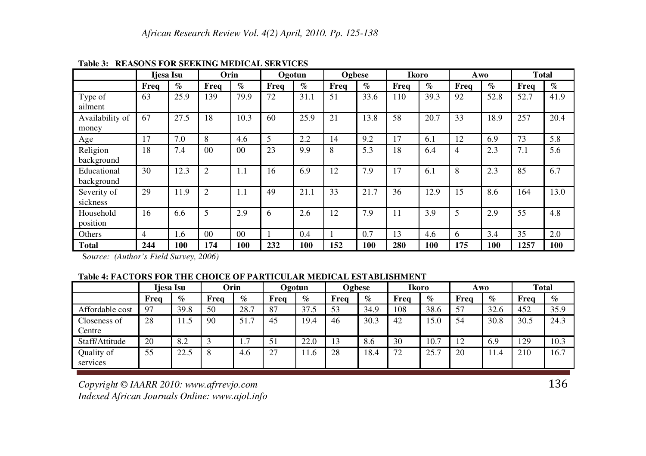|                           | Ijesa Isu |      | Orin           |                |      | Ogotun |      | Ogbese |      | Ikoro | Awo  |      | <b>Total</b> |      |
|---------------------------|-----------|------|----------------|----------------|------|--------|------|--------|------|-------|------|------|--------------|------|
|                           | Freq      | $\%$ | Freq           | $\%$           | Freq | $\%$   | Freq | $\%$   | Freq | $\%$  | Freq | $\%$ | Freq         | $\%$ |
| Type of<br>ailment        | 63        | 25.9 | 139            | 79.9           | 72   | 31.1   | 51   | 33.6   | 110  | 39.3  | 92   | 52.8 | 52.7         | 41.9 |
| Availability of<br>money  | 67        | 27.5 | 18             | 10.3           | 60   | 25.9   | 21   | 13.8   | 58   | 20.7  | 33   | 18.9 | 257          | 20.4 |
| Age                       | 17        | 7.0  | 8              | 4.6            | 5    | 2.2    | 14   | 9.2    | 17   | 6.1   | 12   | 6.9  | 73           | 5.8  |
| Religion<br>background    | 18        | 7.4  | 0 <sub>0</sub> | 0 <sup>0</sup> | 23   | 9.9    | 8    | 5.3    | 18   | 6.4   | 4    | 2.3  | 7.1          | 5.6  |
| Educational<br>background | 30        | 12.3 | 2              | 1.1            | 16   | 6.9    | 12   | 7.9    | 17   | 6.1   | 8    | 2.3  | 85           | 6.7  |
| Severity of<br>sickness   | 29        | 11.9 | 2              | 1.1            | 49   | 21.1   | 33   | 21.7   | 36   | 12.9  | 15   | 8.6  | 164          | 13.0 |
| Household<br>position     | 16        | 6.6  | 5              | 2.9            | 6    | 2.6    | 12   | 7.9    | 11   | 3.9   | 5    | 2.9  | 55           | 4.8  |
| Others                    | 4         | 1.6  | 00             | 00             |      | 0.4    |      | 0.7    | 13   | 4.6   | 6    | 3.4  | 35           | 2.0  |
| <b>Total</b>              | 244       | 100  | 174            | 100            | 232  | 100    | 152  | 100    | 280  | 100   | 175  | 100  | 1257         | 100  |

**Table 3: REASONS FOR SEEKING MEDICAL SERVICES**

S*ource: (Author's Field Survey, 2006)*

**Table 4: FACTORS FOR THE CHOICE OF PARTICULAR MEDICAL ESTABLISHMENT**

|                        | Iiesa Isu |      | Orin |                       | Ogotun |      | Ogbese |      | Ikoro |      | Awo  |      | <b>Total</b> |      |
|------------------------|-----------|------|------|-----------------------|--------|------|--------|------|-------|------|------|------|--------------|------|
|                        | Freq      | $\%$ | Frea | $\%$                  | Frea   | $\%$ | Frea   | $\%$ | Frea  | $\%$ | Frea | $\%$ | Frea         | $\%$ |
| Affordable cost        | 97        | 39.8 | 50   | 28.7                  | 87     | 37.5 | 53     | 34.9 | 108   | 38.6 | 57   | 32.6 | 452          | 35.9 |
| Closeness of<br>Centre | 28        | 11.5 | 90   | 51.7                  | 45     | 19.4 | 46     | 30.3 | 42    | 15.0 | 54   | 30.8 | 30.5         | 24.3 |
| Staff/Attitude         | 20        | 8.2  |      | $\overline{ }$<br>1.1 | 51     | 22.0 | 13     | 8.6  | 30    | 10.7 | 12   | 6.9  | 129          | 10.3 |
| Quality of<br>services | 55        | 22.5 | 8    | 4.6                   | 27     | 11.6 | 28     | 18.4 | 72    | 25.7 | 20   | .4   | 210          | 16.7 |

*Copyright © IAARR 2010: www.afrrevjo.com* $m \overline{136}$ *Indexed African Journals Online: www.ajol.info*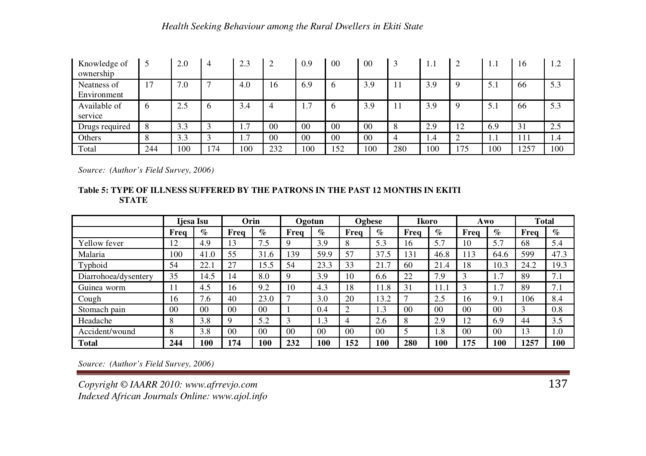| Knowledge of<br>ownership  |                        | 2.0 | 4            | 2.3                   | $\bigcap$ | 0.9            | 0 <sub>0</sub> | 0 <sup>0</sup> | 3   | 1.1   |     | 1.  | 16  | 1.2 |
|----------------------------|------------------------|-----|--------------|-----------------------|-----------|----------------|----------------|----------------|-----|-------|-----|-----|-----|-----|
| Neatness of<br>Environment | 17                     | 7.0 | $\mathbf{r}$ | 4.0                   | 16        | 6.9            |                | 3.9            | 11  | 3.9   |     | 5.1 | 66  | 5.3 |
| Available of<br>service    | b                      | 2.5 | 6            | 3.4                   |           | 1.7            |                | 3.9            | 11  | 3.9   |     | 5.1 | 66  | 5.3 |
| Drugs required             | 8                      | 3.3 |              | $\mathcal{I}$<br>.    | 00        | 0 <sub>0</sub> | 0 <sub>0</sub> | 00             | 8   | 2.9   | 12  | 6.9 | 31  | 2.5 |
| Others                     | $\Omega$<br>$^{\circ}$ | 3.3 |              | $\overline{ }$<br>1.7 | 00        | 00             | 0 <sub>0</sub> | 00             | 4   | . . 4 |     | 1.1 | 111 | 1.4 |
| Total                      | 244                    | 100 | 74           | 100                   | 232       | 100            | 152            | 100            | 280 | 100   | 175 | 100 | 257 | 100 |

*Source: (Author's Field Survey, 2006)*

#### **Table 5: TYPE OF ILLNESS SUFFERED BY THE PATRONS IN THE PAST 12 MONTHS IN EKITI STATE**

|                      | Ijesa Isu      |                | Orin           |                |                | Ogotun         |                | Ogbese         |                | Ikoro          | Awo            |                | <b>Total</b> |      |
|----------------------|----------------|----------------|----------------|----------------|----------------|----------------|----------------|----------------|----------------|----------------|----------------|----------------|--------------|------|
|                      | Frea           | $\%$           | Freq           | $\%$           | Frea           | $\%$           | Frea           | $\%$           | Frea           | $\%$           | Frea           | $\%$           | Frea         | $\%$ |
| Yellow fever         | 12             | 4.9            | 13             | 7.5            | 9              | 3.9            | 8              | 5.3            | 16             | 5.7            | 10             | 5.7            | 68           | 5.4  |
| Malaria              | 100            | 41.0           | 55             | 31.6           | 139            | 59.9           | 57             | 37.5           | 131            | 46.8           | 113            | 64.6           | 599          | 47.3 |
| Typhoid              | 54             | 22.1           | 27             | 15.5           | 54             | 23.3           | 33             | 21.7           | 60             | 21.4           | 18             | 10.3           | 24.2         | 19.3 |
| Diarrohoea/dysentery | 35             | 14.5           | 14             | 8.0            | 9              | 3.9            | 10             | 6.6            | 22             | 7.9            | 3              | 1.7            | 89           | 7.1  |
| Guinea worm          | 11             | 4.5            | 16             | 9.2            | 10             | 4.3            | 18             | 1.8            | 31             | 11.1           | 3              | 7.ء            | 89           | 7.1  |
| Cough                | 16             | 7.6            | 40             | 23.0           |                | 3.0            | 20             | 3.2            | ⇁              | 2.5            | 16             | 9.1            | 106          | 8.4  |
| Stomach pain         | 0 <sup>0</sup> | 0 <sub>0</sub> | 0 <sup>0</sup> | 0 <sup>0</sup> |                | 0.4            |                | 1.3            | 0 <sub>0</sub> | 0 <sup>0</sup> | 0 <sup>0</sup> | 0 <sup>0</sup> | 3            | 0.8  |
| Headache             | 8              | 3.8            | $\mathbf Q$    | 5.2            | 3              | 1.3            |                | 2.6            | 8              | 2.9            | 12             | 6.9            | 44           | 3.5  |
| Accident/wound       | 8              | 3.8            | 0 <sup>0</sup> | 0 <sup>0</sup> | 0 <sup>0</sup> | 0 <sup>0</sup> | 0 <sup>0</sup> | 0 <sub>0</sub> | 5              | 1.8            | 0 <sub>0</sub> | 0 <sub>0</sub> | 13           | 1.0  |
| <b>Total</b>         | 244            | 100            | 174            | 100            | 232            | 100            | 152            | 100            | 280            | 100            | 175            | 100            | 1257         | 100  |

*Source: (Author's Field Survey, 2006)*

*Copyright © IAARR 2010: www.afrrevjo.com* $m \overline{137}$ *Indexed African Journals Online: www.ajol.info*